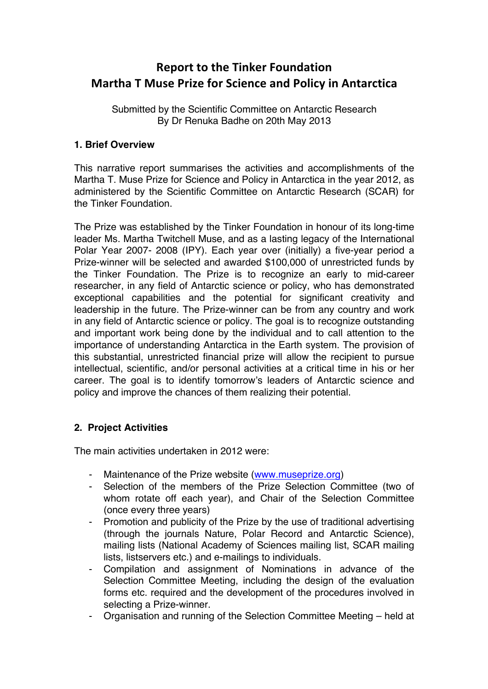# **Report to the Tinker Foundation Martha T Muse Prize for Science and Policy in Antarctica**

Submitted by the Scientific Committee on Antarctic Research By Dr Renuka Badhe on 20th May 2013

## **1. Brief Overview**

This narrative report summarises the activities and accomplishments of the Martha T. Muse Prize for Science and Policy in Antarctica in the year 2012, as administered by the Scientific Committee on Antarctic Research (SCAR) for the Tinker Foundation.

The Prize was established by the Tinker Foundation in honour of its long-time leader Ms. Martha Twitchell Muse, and as a lasting legacy of the International Polar Year 2007- 2008 (IPY). Each year over (initially) a five-year period a Prize-winner will be selected and awarded \$100,000 of unrestricted funds by the Tinker Foundation. The Prize is to recognize an early to mid-career researcher, in any field of Antarctic science or policy, who has demonstrated exceptional capabilities and the potential for significant creativity and leadership in the future. The Prize-winner can be from any country and work in any field of Antarctic science or policy. The goal is to recognize outstanding and important work being done by the individual and to call attention to the importance of understanding Antarctica in the Earth system. The provision of this substantial, unrestricted financial prize will allow the recipient to pursue intellectual, scientific, and/or personal activities at a critical time in his or her career. The goal is to identify tomorrow's leaders of Antarctic science and policy and improve the chances of them realizing their potential.

## **2. Project Activities**

The main activities undertaken in 2012 were:

- Maintenance of the Prize website (www.museprize.org)
- Selection of the members of the Prize Selection Committee (two of whom rotate off each year), and Chair of the Selection Committee (once every three years)
- Promotion and publicity of the Prize by the use of traditional advertising (through the journals Nature, Polar Record and Antarctic Science), mailing lists (National Academy of Sciences mailing list, SCAR mailing lists, listservers etc.) and e-mailings to individuals.
- Compilation and assignment of Nominations in advance of the Selection Committee Meeting, including the design of the evaluation forms etc. required and the development of the procedures involved in selecting a Prize-winner.
- Organisation and running of the Selection Committee Meeting held at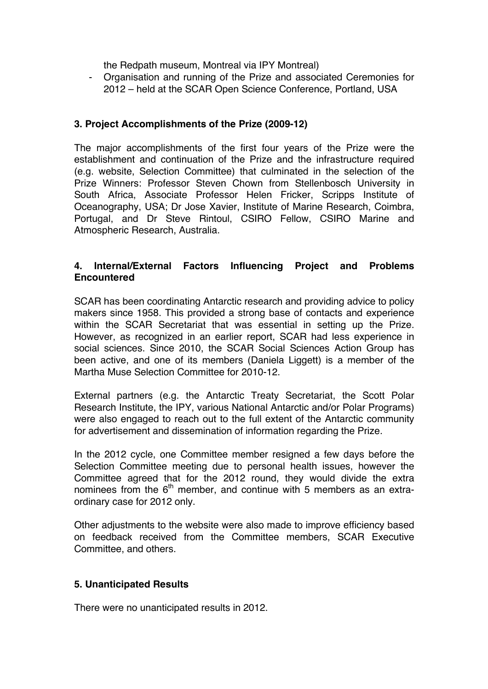the Redpath museum, Montreal via IPY Montreal)

- Organisation and running of the Prize and associated Ceremonies for 2012 – held at the SCAR Open Science Conference, Portland, USA

### **3. Project Accomplishments of the Prize (2009-12)**

The major accomplishments of the first four years of the Prize were the establishment and continuation of the Prize and the infrastructure required (e.g. website, Selection Committee) that culminated in the selection of the Prize Winners: Professor Steven Chown from Stellenbosch University in South Africa, Associate Professor Helen Fricker, Scripps Institute of Oceanography, USA; Dr Jose Xavier, Institute of Marine Research, Coimbra, Portugal, and Dr Steve Rintoul, CSIRO Fellow, CSIRO Marine and Atmospheric Research, Australia.

### **4. Internal/External Factors Influencing Project and Problems Encountered**

SCAR has been coordinating Antarctic research and providing advice to policy makers since 1958. This provided a strong base of contacts and experience within the SCAR Secretariat that was essential in setting up the Prize. However, as recognized in an earlier report, SCAR had less experience in social sciences. Since 2010, the SCAR Social Sciences Action Group has been active, and one of its members (Daniela Liggett) is a member of the Martha Muse Selection Committee for 2010-12.

External partners (e.g. the Antarctic Treaty Secretariat, the Scott Polar Research Institute, the IPY, various National Antarctic and/or Polar Programs) were also engaged to reach out to the full extent of the Antarctic community for advertisement and dissemination of information regarding the Prize.

In the 2012 cycle, one Committee member resigned a few days before the Selection Committee meeting due to personal health issues, however the Committee agreed that for the 2012 round, they would divide the extra nominees from the  $6<sup>th</sup>$  member, and continue with 5 members as an extraordinary case for 2012 only.

Other adjustments to the website were also made to improve efficiency based on feedback received from the Committee members, SCAR Executive Committee, and others.

### **5. Unanticipated Results**

There were no unanticipated results in 2012.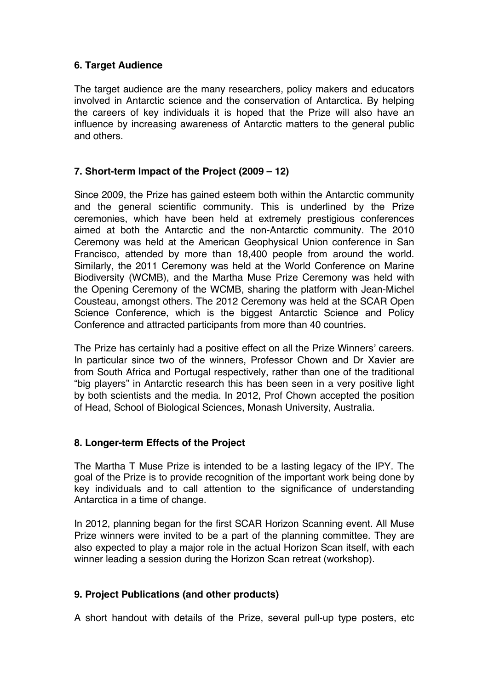## **6. Target Audience**

The target audience are the many researchers, policy makers and educators involved in Antarctic science and the conservation of Antarctica. By helping the careers of key individuals it is hoped that the Prize will also have an influence by increasing awareness of Antarctic matters to the general public and others.

## **7. Short-term Impact of the Project (2009 – 12)**

Since 2009, the Prize has gained esteem both within the Antarctic community and the general scientific community. This is underlined by the Prize ceremonies, which have been held at extremely prestigious conferences aimed at both the Antarctic and the non-Antarctic community. The 2010 Ceremony was held at the American Geophysical Union conference in San Francisco, attended by more than 18,400 people from around the world. Similarly, the 2011 Ceremony was held at the World Conference on Marine Biodiversity (WCMB), and the Martha Muse Prize Ceremony was held with the Opening Ceremony of the WCMB, sharing the platform with Jean-Michel Cousteau, amongst others. The 2012 Ceremony was held at the SCAR Open Science Conference, which is the biggest Antarctic Science and Policy Conference and attracted participants from more than 40 countries.

The Prize has certainly had a positive effect on all the Prize Winners' careers. In particular since two of the winners, Professor Chown and Dr Xavier are from South Africa and Portugal respectively, rather than one of the traditional "big players" in Antarctic research this has been seen in a very positive light by both scientists and the media. In 2012, Prof Chown accepted the position of Head, School of Biological Sciences, Monash University, Australia.

## **8. Longer-term Effects of the Project**

The Martha T Muse Prize is intended to be a lasting legacy of the IPY. The goal of the Prize is to provide recognition of the important work being done by key individuals and to call attention to the significance of understanding Antarctica in a time of change.

In 2012, planning began for the first SCAR Horizon Scanning event. All Muse Prize winners were invited to be a part of the planning committee. They are also expected to play a major role in the actual Horizon Scan itself, with each winner leading a session during the Horizon Scan retreat (workshop).

## **9. Project Publications (and other products)**

A short handout with details of the Prize, several pull-up type posters, etc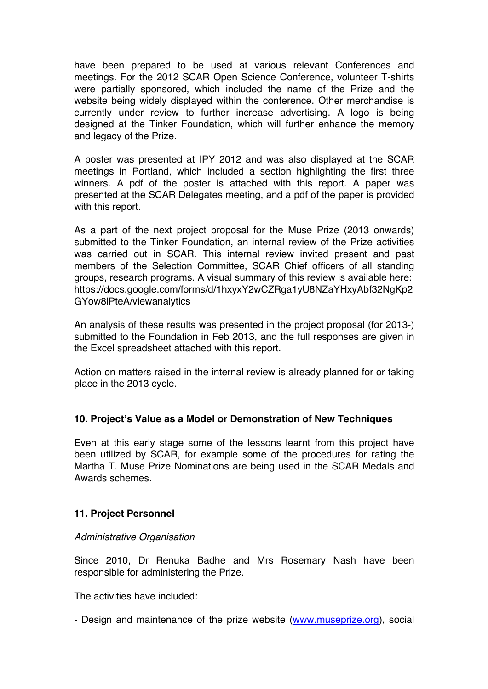have been prepared to be used at various relevant Conferences and meetings. For the 2012 SCAR Open Science Conference, volunteer T-shirts were partially sponsored, which included the name of the Prize and the website being widely displayed within the conference. Other merchandise is currently under review to further increase advertising. A logo is being designed at the Tinker Foundation, which will further enhance the memory and legacy of the Prize.

A poster was presented at IPY 2012 and was also displayed at the SCAR meetings in Portland, which included a section highlighting the first three winners. A pdf of the poster is attached with this report. A paper was presented at the SCAR Delegates meeting, and a pdf of the paper is provided with this report.

As a part of the next project proposal for the Muse Prize (2013 onwards) submitted to the Tinker Foundation, an internal review of the Prize activities was carried out in SCAR. This internal review invited present and past members of the Selection Committee, SCAR Chief officers of all standing groups, research programs. A visual summary of this review is available here: https://docs.google.com/forms/d/1hxyxY2wCZRga1yU8NZaYHxyAbf32NgKp2 GYow8lPteA/viewanalytics

An analysis of these results was presented in the project proposal (for 2013-) submitted to the Foundation in Feb 2013, and the full responses are given in the Excel spreadsheet attached with this report.

Action on matters raised in the internal review is already planned for or taking place in the 2013 cycle.

### **10. Project's Value as a Model or Demonstration of New Techniques**

Even at this early stage some of the lessons learnt from this project have been utilized by SCAR, for example some of the procedures for rating the Martha T. Muse Prize Nominations are being used in the SCAR Medals and Awards schemes.

### **11. Project Personnel**

#### *Administrative Organisation*

Since 2010, Dr Renuka Badhe and Mrs Rosemary Nash have been responsible for administering the Prize.

The activities have included:

- Design and maintenance of the prize website (www.museprize.org), social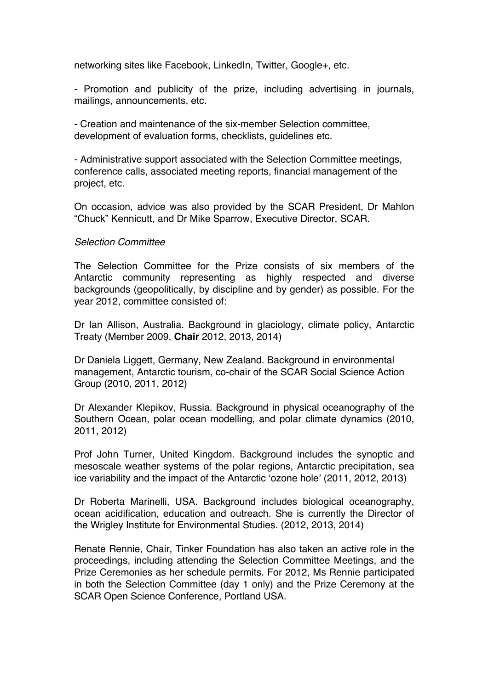networking sites like Facebook, LinkedIn, Twitter, Google+, etc.

- Promotion and publicity of the prize, including advertising in journals, mailings, announcements, etc.

- Creation and maintenance of the six-member Selection committee, development of evaluation forms, checklists, guidelines etc.

- Administrative support associated with the Selection Committee meetings, conference calls, associated meeting reports, financial management of the project, etc.

On occasion, advice was also provided by the SCAR President, Dr Mahlon "Chuck" Kennicutt, and Dr Mike Sparrow, Executive Director, SCAR.

#### *Selection Committee*

The Selection Committee for the Prize consists of six members of the Antarctic community representing as highly respected and diverse backgrounds (geopolitically, by discipline and by gender) as possible. For the year 2012, committee consisted of:

Dr Ian Allison, Australia. Background in glaciology, climate policy, Antarctic Treaty (Member 2009, **Chair** 2012, 2013, 2014)

Dr Daniela Liggett, Germany, New Zealand. Background in environmental management, Antarctic tourism, co-chair of the SCAR Social Science Action Group (2010, 2011, 2012)

Dr Alexander Klepikov, Russia. Background in physical oceanography of the Southern Ocean, polar ocean modelling, and polar climate dynamics (2010, 2011, 2012)

Prof John Turner, United Kingdom. Background includes the synoptic and mesoscale weather systems of the polar regions, Antarctic precipitation, sea ice variability and the impact of the Antarctic 'ozone hole' (2011, 2012, 2013)

Dr Roberta Marinelli, USA. Background includes biological oceanography, ocean acidification, education and outreach. She is currently the Director of the Wrigley Institute for Environmental Studies. (2012, 2013, 2014)

Renate Rennie, Chair, Tinker Foundation has also taken an active role in the proceedings, including attending the Selection Committee Meetings, and the Prize Ceremonies as her schedule permits. For 2012, Ms Rennie participated in both the Selection Committee (day 1 only) and the Prize Ceremony at the SCAR Open Science Conference, Portland USA.